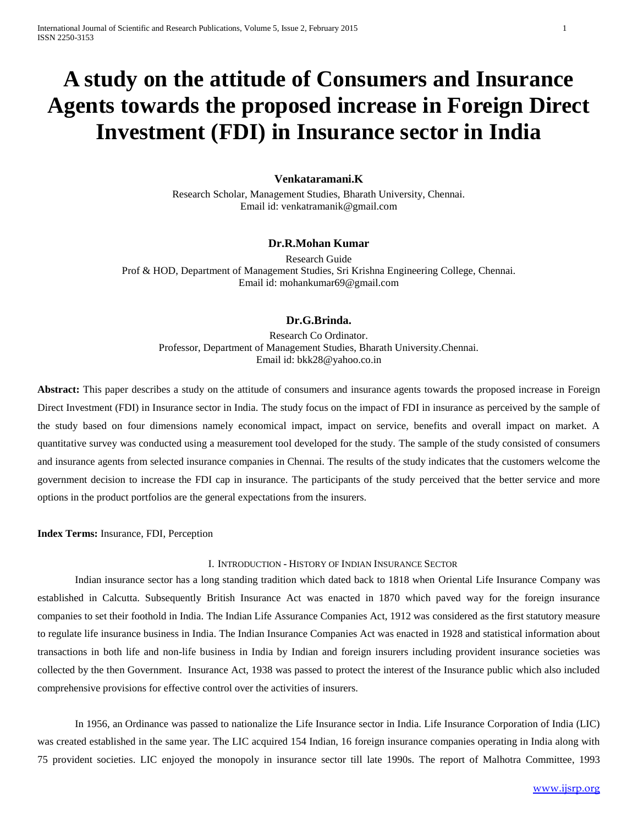# **A study on the attitude of Consumers and Insurance Agents towards the proposed increase in Foreign Direct Investment (FDI) in Insurance sector in India**

## **Venkataramani.K**

Research Scholar, Management Studies, Bharath University, Chennai. Email id: venkatramanik@gmail.com

#### **Dr.R.Mohan Kumar**

Research Guide Prof & HOD, Department of Management Studies, Sri Krishna Engineering College, Chennai. Email id: mohankumar69@gmail.com

## **Dr.G.Brinda.**

Research Co Ordinator. Professor, Department of Management Studies, Bharath University.Chennai. Email id: bkk28@yahoo.co.in

**Abstract:** This paper describes a study on the attitude of consumers and insurance agents towards the proposed increase in Foreign Direct Investment (FDI) in Insurance sector in India. The study focus on the impact of FDI in insurance as perceived by the sample of the study based on four dimensions namely economical impact, impact on service, benefits and overall impact on market. A quantitative survey was conducted using a measurement tool developed for the study. The sample of the study consisted of consumers and insurance agents from selected insurance companies in Chennai. The results of the study indicates that the customers welcome the government decision to increase the FDI cap in insurance. The participants of the study perceived that the better service and more options in the product portfolios are the general expectations from the insurers.

**Index Terms:** Insurance, FDI, Perception

#### I. INTRODUCTION - HISTORY OF INDIAN INSURANCE SECTOR

Indian insurance sector has a long standing tradition which dated back to 1818 when Oriental Life Insurance Company was established in Calcutta. Subsequently British Insurance Act was enacted in 1870 which paved way for the foreign insurance companies to set their foothold in India. The Indian Life Assurance Companies Act, 1912 was considered as the first statutory measure to regulate life insurance business in India. The Indian Insurance Companies Act was enacted in 1928 and statistical information about transactions in both life and non-life business in India by Indian and foreign insurers including provident insurance societies was collected by the then Government. Insurance Act, 1938 was passed to protect the interest of the Insurance public which also included comprehensive provisions for effective control over the activities of insurers.

In 1956, an Ordinance was passed to nationalize the Life Insurance sector in India. Life Insurance Corporation of India (LIC) was created established in the same year. The LIC acquired 154 Indian, 16 foreign insurance companies operating in India along with 75 provident societies. LIC enjoyed the monopoly in insurance sector till late 1990s. The report of Malhotra Committee, 1993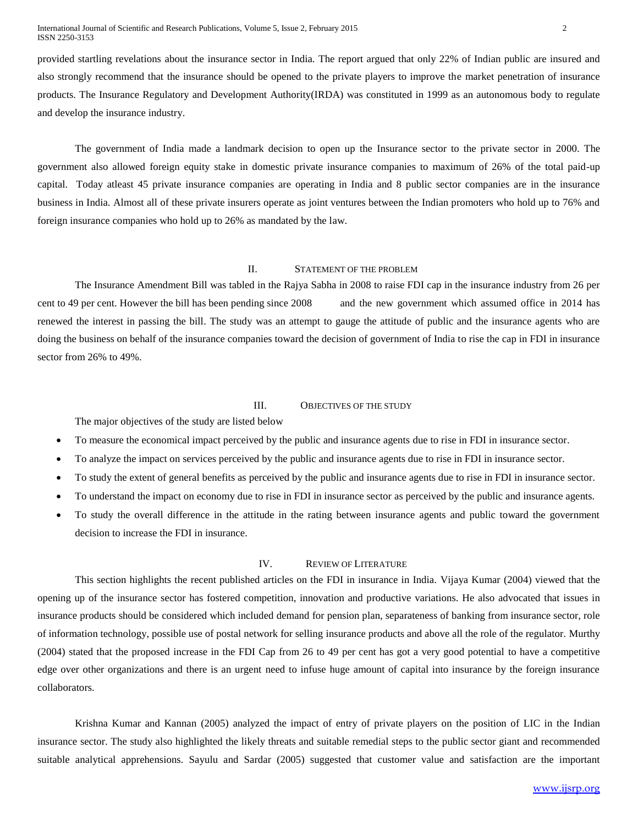provided startling revelations about the insurance sector in India. The report argued that only 22% of Indian public are insured and also strongly recommend that the insurance should be opened to the private players to improve the market penetration of insurance products. The Insurance Regulatory and Development Authority(IRDA) was constituted in 1999 as an autonomous body to regulate and develop the insurance industry.

The government of India made a landmark decision to open up the Insurance sector to the private sector in 2000. The government also allowed foreign equity stake in domestic private insurance companies to maximum of 26% of the total paid-up capital. Today atleast 45 private insurance companies are operating in India and 8 public sector companies are in the insurance business in India. Almost all of these private insurers operate as joint ventures between the Indian promoters who hold up to 76% and foreign insurance companies who hold up to 26% as mandated by the law.

## II. STATEMENT OF THE PROBLEM

The Insurance Amendment Bill was tabled in the Rajya Sabha in 2008 to raise FDI cap in the insurance industry from 26 per cent to 49 per cent. However the bill has been pending since 2008 and the new government which assumed office in 2014 has renewed the interest in passing the bill. The study was an attempt to gauge the attitude of public and the insurance agents who are doing the business on behalf of the insurance companies toward the decision of government of India to rise the cap in FDI in insurance sector from 26% to 49%.

## III. OBJECTIVES OF THE STUDY

The major objectives of the study are listed below

- To measure the economical impact perceived by the public and insurance agents due to rise in FDI in insurance sector.
- To analyze the impact on services perceived by the public and insurance agents due to rise in FDI in insurance sector.
- To study the extent of general benefits as perceived by the public and insurance agents due to rise in FDI in insurance sector.
- To understand the impact on economy due to rise in FDI in insurance sector as perceived by the public and insurance agents.
- To study the overall difference in the attitude in the rating between insurance agents and public toward the government decision to increase the FDI in insurance.

#### IV. REVIEW OF LITERATURE

This section highlights the recent published articles on the FDI in insurance in India. Vijaya Kumar (2004) viewed that the opening up of the insurance sector has fostered competition, innovation and productive variations. He also advocated that issues in insurance products should be considered which included demand for pension plan, separateness of banking from insurance sector, role of information technology, possible use of postal network for selling insurance products and above all the role of the regulator. Murthy (2004) stated that the proposed increase in the FDI Cap from 26 to 49 per cent has got a very good potential to have a competitive edge over other organizations and there is an urgent need to infuse huge amount of capital into insurance by the foreign insurance collaborators.

Krishna Kumar and Kannan (2005) analyzed the impact of entry of private players on the position of LIC in the Indian insurance sector. The study also highlighted the likely threats and suitable remedial steps to the public sector giant and recommended suitable analytical apprehensions. Sayulu and Sardar (2005) suggested that customer value and satisfaction are the important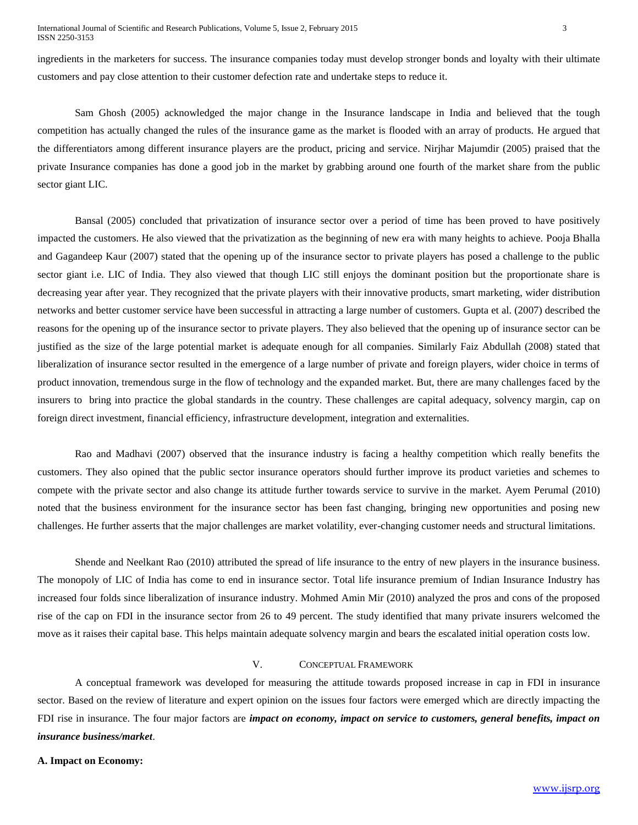ingredients in the marketers for success. The insurance companies today must develop stronger bonds and loyalty with their ultimate customers and pay close attention to their customer defection rate and undertake steps to reduce it.

Sam Ghosh (2005) acknowledged the major change in the Insurance landscape in India and believed that the tough competition has actually changed the rules of the insurance game as the market is flooded with an array of products. He argued that the differentiators among different insurance players are the product, pricing and service. Nirjhar Majumdir (2005) praised that the private Insurance companies has done a good job in the market by grabbing around one fourth of the market share from the public sector giant LIC.

Bansal (2005) concluded that privatization of insurance sector over a period of time has been proved to have positively impacted the customers. He also viewed that the privatization as the beginning of new era with many heights to achieve. Pooja Bhalla and Gagandeep Kaur (2007) stated that the opening up of the insurance sector to private players has posed a challenge to the public sector giant i.e. LIC of India. They also viewed that though LIC still enjoys the dominant position but the proportionate share is decreasing year after year. They recognized that the private players with their innovative products, smart marketing, wider distribution networks and better customer service have been successful in attracting a large number of customers. Gupta et al. (2007) described the reasons for the opening up of the insurance sector to private players. They also believed that the opening up of insurance sector can be justified as the size of the large potential market is adequate enough for all companies. Similarly Faiz Abdullah (2008) stated that liberalization of insurance sector resulted in the emergence of a large number of private and foreign players, wider choice in terms of product innovation, tremendous surge in the flow of technology and the expanded market. But, there are many challenges faced by the insurers to bring into practice the global standards in the country. These challenges are capital adequacy, solvency margin, cap on foreign direct investment, financial efficiency, infrastructure development, integration and externalities.

Rao and Madhavi (2007) observed that the insurance industry is facing a healthy competition which really benefits the customers. They also opined that the public sector insurance operators should further improve its product varieties and schemes to compete with the private sector and also change its attitude further towards service to survive in the market. Ayem Perumal (2010) noted that the business environment for the insurance sector has been fast changing, bringing new opportunities and posing new challenges. He further asserts that the major challenges are market volatility, ever-changing customer needs and structural limitations.

Shende and Neelkant Rao (2010) attributed the spread of life insurance to the entry of new players in the insurance business. The monopoly of LIC of India has come to end in insurance sector. Total life insurance premium of Indian Insurance Industry has increased four folds since liberalization of insurance industry. Mohmed Amin Mir (2010) analyzed the pros and cons of the proposed rise of the cap on FDI in the insurance sector from 26 to 49 percent. The study identified that many private insurers welcomed the move as it raises their capital base. This helps maintain adequate solvency margin and bears the escalated initial operation costs low.

## V. CONCEPTUAL FRAMEWORK

A conceptual framework was developed for measuring the attitude towards proposed increase in cap in FDI in insurance sector. Based on the review of literature and expert opinion on the issues four factors were emerged which are directly impacting the FDI rise in insurance. The four major factors are *impact on economy, impact on service to customers, general benefits, impact on insurance business/market*.

#### **A. Impact on Economy:**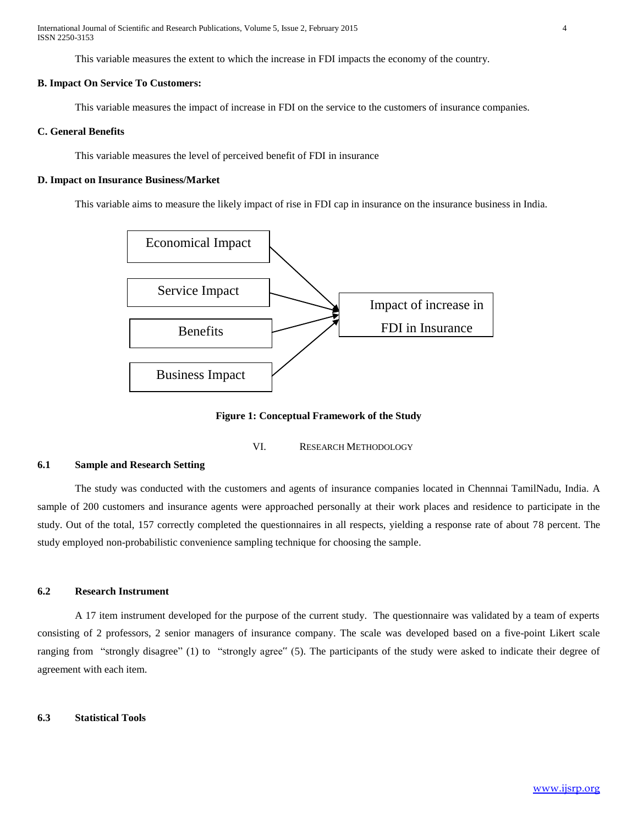International Journal of Scientific and Research Publications, Volume 5, Issue 2, February 2015 4 ISSN 2250-3153

This variable measures the extent to which the increase in FDI impacts the economy of the country.

#### **B. Impact On Service To Customers:**

This variable measures the impact of increase in FDI on the service to the customers of insurance companies.

## **C. General Benefits**

This variable measures the level of perceived benefit of FDI in insurance

#### **D. Impact on Insurance Business/Market**

This variable aims to measure the likely impact of rise in FDI cap in insurance on the insurance business in India.



**Figure 1: Conceptual Framework of the Study**

VI. RESEARCH METHODOLOGY

## **6.1 Sample and Research Setting**

The study was conducted with the customers and agents of insurance companies located in Chennnai TamilNadu, India. A sample of 200 customers and insurance agents were approached personally at their work places and residence to participate in the study. Out of the total, 157 correctly completed the questionnaires in all respects, yielding a response rate of about 78 percent. The study employed non-probabilistic convenience sampling technique for choosing the sample.

#### **6.2 Research Instrument**

A 17 item instrument developed for the purpose of the current study. The questionnaire was validated by a team of experts consisting of 2 professors, 2 senior managers of insurance company. The scale was developed based on a five-point Likert scale ranging from "strongly disagree" (1) to "strongly agree" (5). The participants of the study were asked to indicate their degree of agreement with each item.

#### **6.3 Statistical Tools**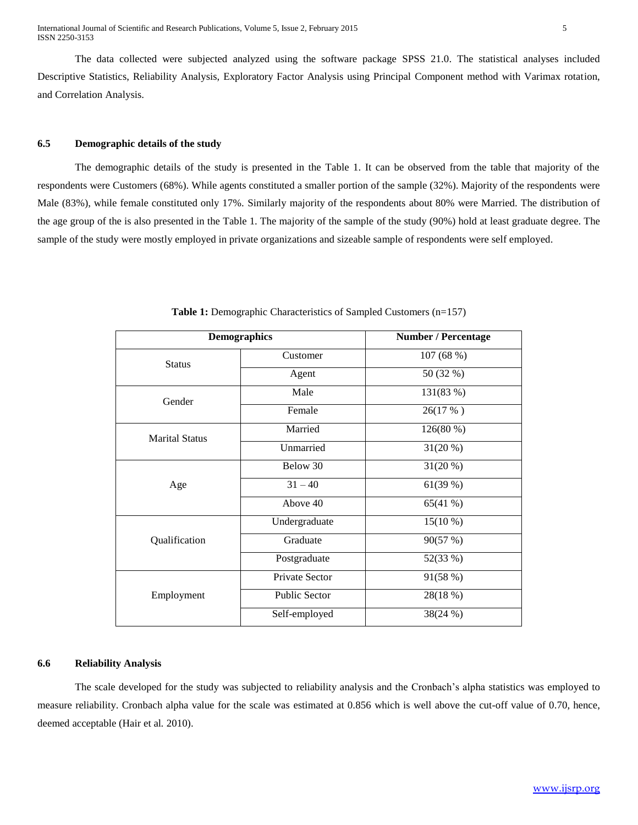The data collected were subjected analyzed using the software package SPSS 21.0. The statistical analyses included Descriptive Statistics, Reliability Analysis, Exploratory Factor Analysis using Principal Component method with Varimax rotation, and Correlation Analysis.

## **6.5 Demographic details of the study**

The demographic details of the study is presented in the Table 1. It can be observed from the table that majority of the respondents were Customers (68%). While agents constituted a smaller portion of the sample (32%). Majority of the respondents were Male (83%), while female constituted only 17%. Similarly majority of the respondents about 80% were Married. The distribution of the age group of the is also presented in the Table 1. The majority of the sample of the study (90%) hold at least graduate degree. The sample of the study were mostly employed in private organizations and sizeable sample of respondents were self employed.

|                       | <b>Demographics</b><br><b>Number / Percentage</b> |            |  |
|-----------------------|---------------------------------------------------|------------|--|
| <b>Status</b>         | Customer                                          | 107 (68 %) |  |
|                       | Agent                                             | 50 (32 %)  |  |
| Gender                | Male                                              | 131(83 %)  |  |
|                       | Female                                            | 26(17 %)   |  |
| <b>Marital Status</b> | Married                                           | 126(80%)   |  |
|                       | Unmarried                                         | $31(20\%)$ |  |
| Age                   | Below 30                                          | $31(20\%)$ |  |
|                       | $31 - 40$                                         | 61(39%)    |  |
|                       | Above 40                                          | 65(41%)    |  |
|                       | Undergraduate                                     | $15(10\%)$ |  |
| Qualification         | Graduate                                          | 90(57%)    |  |
|                       | Postgraduate                                      | 52(33 %)   |  |
| Employment            | Private Sector                                    | 91(58 %)   |  |
|                       | <b>Public Sector</b>                              | 28(18 %)   |  |
|                       | Self-employed                                     | 38(24%)    |  |

**Table 1:** Demographic Characteristics of Sampled Customers (n=157)

## **6.6 Reliability Analysis**

The scale developed for the study was subjected to reliability analysis and the Cronbach's alpha statistics was employed to measure reliability. Cronbach alpha value for the scale was estimated at 0.856 which is well above the cut-off value of 0.70, hence, deemed acceptable (Hair et al*.* 2010).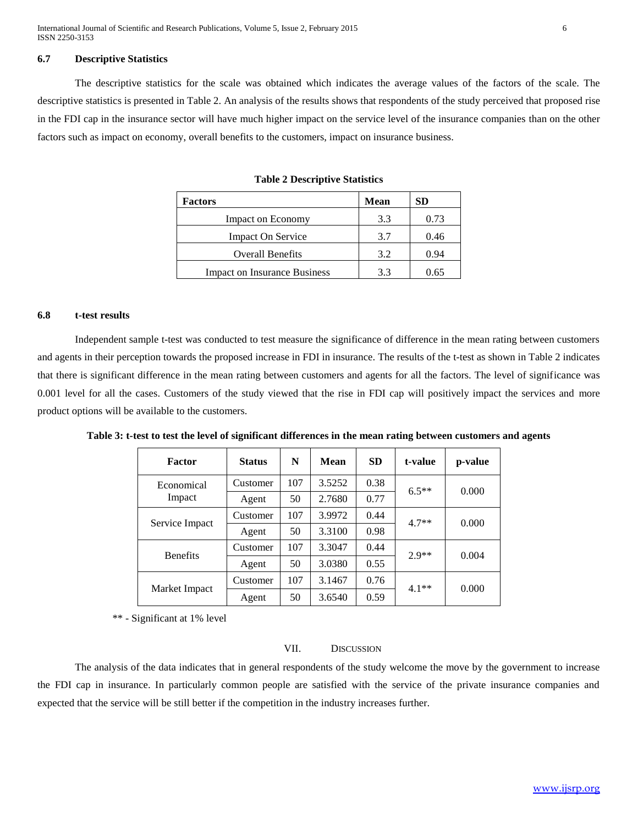International Journal of Scientific and Research Publications, Volume 5, Issue 2, February 2015 6 ISSN 2250-3153

#### **6.7 Descriptive Statistics**

The descriptive statistics for the scale was obtained which indicates the average values of the factors of the scale. The descriptive statistics is presented in Table 2. An analysis of the results shows that respondents of the study perceived that proposed rise in the FDI cap in the insurance sector will have much higher impact on the service level of the insurance companies than on the other factors such as impact on economy, overall benefits to the customers, impact on insurance business.

| <b>Factors</b>                      | Mean | SD   |
|-------------------------------------|------|------|
| Impact on Economy                   | 3.3  | 0.73 |
| <b>Impact On Service</b>            | 3.7  | 0.46 |
| <b>Overall Benefits</b>             | 3.2  | 0.94 |
| <b>Impact on Insurance Business</b> | 3.3  | 0.65 |

**Table 2 Descriptive Statistics**

## **6.8 t-test results**

Independent sample t-test was conducted to test measure the significance of difference in the mean rating between customers and agents in their perception towards the proposed increase in FDI in insurance. The results of the t-test as shown in Table 2 indicates that there is significant difference in the mean rating between customers and agents for all the factors. The level of significance was 0.001 level for all the cases. Customers of the study viewed that the rise in FDI cap will positively impact the services and more product options will be available to the customers.

| <b>Factor</b>        | <b>Status</b> | N   | <b>Mean</b> | <b>SD</b> | t-value | p-value |
|----------------------|---------------|-----|-------------|-----------|---------|---------|
| Economical<br>Impact | Customer      | 107 | 3.5252      | 0.38      | $6.5**$ | 0.000   |
|                      | Agent         | 50  | 2.7680      | 0.77      |         |         |
| Service Impact       | Customer      | 107 | 3.9972      | 0.44      | $4.7**$ | 0.000   |
|                      | Agent         | 50  | 3.3100      | 0.98      |         |         |
| <b>Benefits</b>      | Customer      | 107 | 3.3047      | 0.44      | $2.9**$ | 0.004   |
|                      | Agent         | 50  | 3.0380      | 0.55      |         |         |
| Market Impact        | Customer      | 107 | 3.1467      | 0.76      | $4.1**$ | 0.000   |
|                      | Agent         | 50  | 3.6540      | 0.59      |         |         |

**Table 3: t-test to test the level of significant differences in the mean rating between customers and agents**

\*\* - Significant at 1% level

#### VII. DISCUSSION

The analysis of the data indicates that in general respondents of the study welcome the move by the government to increase the FDI cap in insurance. In particularly common people are satisfied with the service of the private insurance companies and expected that the service will be still better if the competition in the industry increases further.